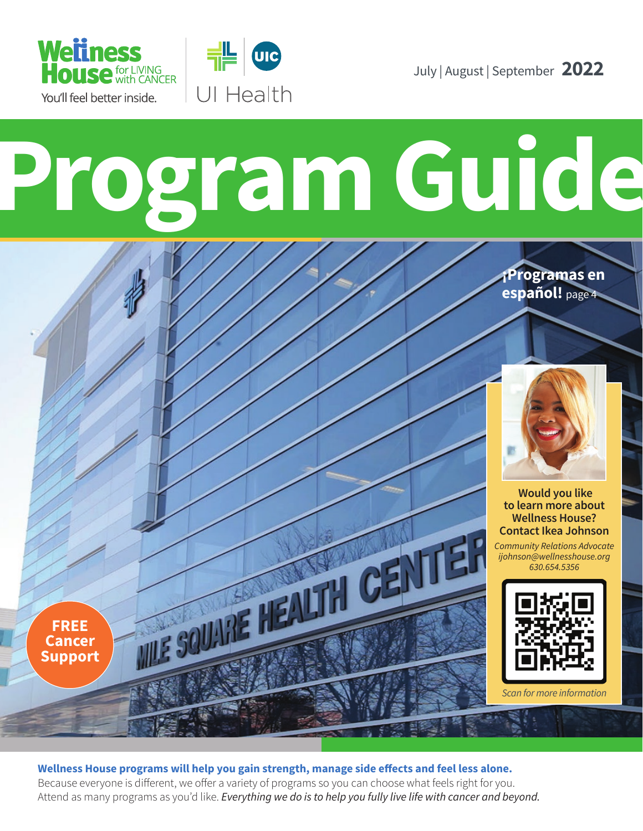

**FREE Cancer Support**



July | August | September **2022**

# **Program Guide**

 **Would you like to learn more about** 

**¡Programas en español!** page 4

**Contact Ikea Johnson**  *Community Relations Advocate ijohnson@wellnesshouse.org 630.654.5356*

**Wellness House?** 



*Scan for more information*

**Wellness House programs will help you gain strength, manage side effects and feel less alone.**  Because everyone is different, we offer a variety of programs so you can choose what feels right for you. Attend as many programs as you'd like. *Everything we do is to help you fully live life with cancer and beyond.*

**SOUTHE NEALTH CENT**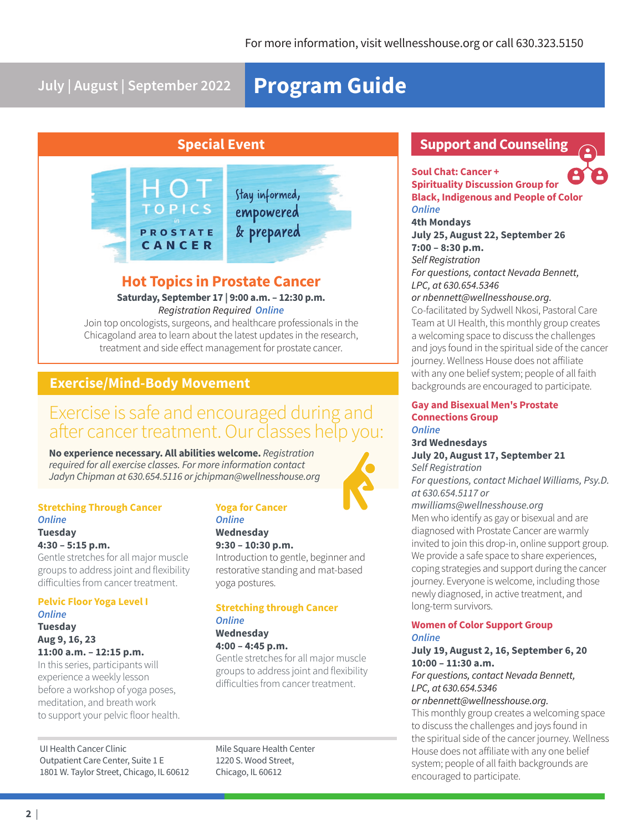**July | August | September 2022**

# **Program Guide**

## **Special Event**



### **Hot Topics in Prostate Cancer**

### **Saturday, September 17 | 9:00 a.m. – 12:30 p.m.** *Registration Required Online*

Join top oncologists, surgeons, and healthcare professionals in the Chicagoland area to learn about the latest updates in the research, treatment and side effect management for prostate cancer.

### **Exercise/Mind-Body Movement**

# Exercise is safe and encouraged during and after cancer treatment. Our classes help you:

**No experience necessary. All abilities welcome.** *Registration required for all exercise classes. For more information contact Jadyn Chipman at 630.654.5116 or jchipman@wellnesshouse.org*

### **Stretching Through Cancer** *Online*  **Tuesday**

### **4:30 – 5:15 p.m.**

Gentle stretches for all major muscle groups to address joint and flexibility difficulties from cancer treatment.

### **Pelvic Floor Yoga Level I** *Online*  **Tuesday Aug 9, 16, 23**

**11:00 a.m. – 12:15 p.m.** In this series, participants will

experience a weekly lesson before a workshop of yoga poses, meditation, and breath work to support your pelvic floor health.

UI Health Cancer Clinic Outpatient Care Center, Suite 1 E 1801 W. Taylor Street, Chicago, IL 60612

### **Yoga for Cancer**  *Online*  **Wednesday**

### **9:30 – 10:30 p.m.**

Introduction to gentle, beginner and restorative standing and mat-based yoga postures.

### **Stretching through Cancer**  *Online*  **Wednesday**

**4:00 – 4:45 p.m.**

Gentle stretches for all major muscle groups to address joint and flexibility difficulties from cancer treatment.

Mile Square Health Center 1220 S. Wood Street, Chicago, IL 60612

### **Support and Counseling**

**Soul Chat: Cancer + Spirituality Discussion Group for Black, Indigenous and People of Color**  *Online* 

**4th Mondays July 25, August 22, September 26 7:00 – 8:30 p.m.** *Self Registration*

*For questions, contact Nevada Bennett, LPC, at 630.654.5346*

*or nbennett@wellnesshouse.org.*

Co-facilitated by Sydwell Nkosi, Pastoral Care Team at UI Health, this monthly group creates a welcoming space to discuss the challenges and joys found in the spiritual side of the cancer journey. Wellness House does not affiliate with any one belief system; people of all faith backgrounds are encouraged to participate.

### **Gay and Bisexual Men's Prostate Connections Group**

### *Online*  **3rd Wednesdays**

### **July 20, August 17, September 21** *Self Registration*

*For questions, contact Michael Williams, Psy.D. at 630.654.5117 or* 

*mwilliams@wellnesshouse.org* Men who identify as gay or bisexual and are diagnosed with Prostate Cancer are warmly invited to join this drop-in, online support group. We provide a safe space to share experiences, coping strategies and support during the cancer journey. Everyone is welcome, including those newly diagnosed, in active treatment, and long-term survivors.

### **Women of Color Support Group** *Online*

### **July 19, August 2, 16, September 6, 20 10:00 – 11:30 a.m.**

*For questions, contact Nevada Bennett, LPC, at 630.654.5346*

### *or nbennett@wellnesshouse.org.*

This monthly group creates a welcoming space to discuss the challenges and joys found in the spiritual side of the cancer journey. Wellness House does not affiliate with any one belief system; people of all faith backgrounds are encouraged to participate.

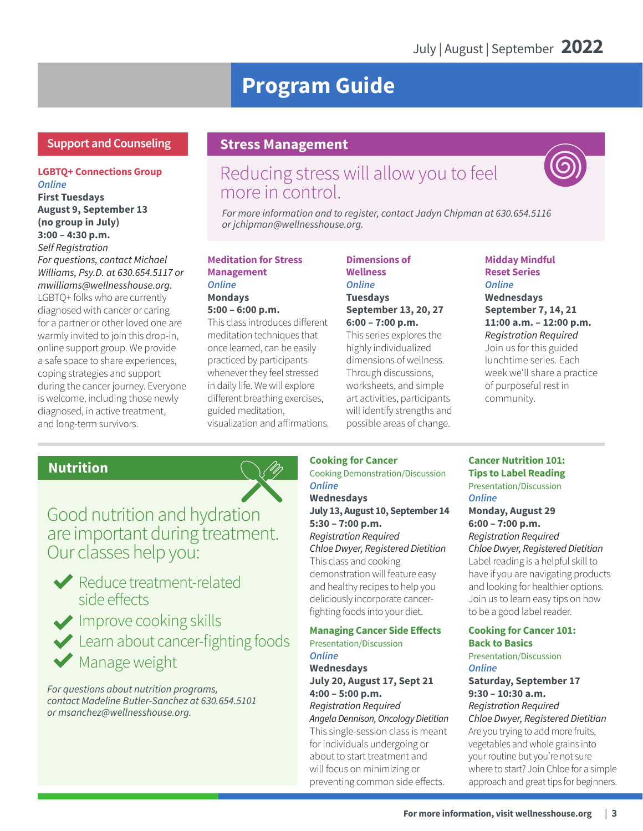# **Program Guide**

### **Support and Counseling**

### **LGBTQ+ Connections Group** *Online*

**First Tuesdays August 9, September 13 (no group in July) 3:00 – 4:30 p.m.** *Self Registration For questions, contact Michael Williams, Psy.D. at 630.654.5117 or mwilliams@wellnesshouse.org.* LGBTQ+ folks who are currently diagnosed with cancer or caring for a partner or other loved one are warmly invited to join this drop-in, online support group. We provide a safe space to share experiences, coping strategies and support during the cancer journey. Everyone is welcome, including those newly diagnosed, in active treatment, and long-term survivors.

### **Stress Management**

# Reducing stress will allow you to feel more in control.



*For more information and to register, contact Jadyn Chipman at 630.654.5116 or jchipman@wellnesshouse.org.* 

### **Meditation for Stress Management**  *Online*  **Mondays**

**5:00 – 6:00 p.m.** 

This class introduces different meditation techniques that once learned, can be easily practiced by participants whenever they feel stressed in daily life. We will explore different breathing exercises, guided meditation, visualization and affirmations.

### **Dimensions of Wellness** *Online*  **Tuesdays September 13, 20, 27 6:00 – 7:00 p.m.**

This series explores the highly individualized dimensions of wellness. Through discussions, worksheets, and simple art activities, participants will identify strengths and possible areas of change.

### **Midday Mindful Reset Series**  *Online*  **Wednesdays September 7, 14, 21 11:00 a.m. – 12:00 p.m.**  *Registration Required*  Join us for this guided lunchtime series. Each week we'll share a practice of purposeful rest in community.

### **Nutrition**



Good nutrition and hydration are important during treatment. Our classes help you:



Reduce treatment-related side effects

Improve cooking skills Learn about cancer-fighting foods Manage weight

*For questions about nutrition programs, contact Madeline Butler-Sanchez at 630.654.5101 or msanchez@wellnesshouse.org.*

### **Cooking for Cancer**

Cooking Demonstration/Discussion *Online* 

**Wednesdays July 13, August 10, September 14 5:30 – 7:00 p.m.**  *Registration Required Chloe Dwyer, Registered Dietitian* This class and cooking demonstration will feature easy and healthy recipes to help you deliciously incorporate cancerfighting foods into your diet.

### **Managing Cancer Side Effects**

Presentation/Discussion *Online* 

**Wednesdays July 20, August 17, Sept 21 4:00 – 5:00 p.m.**  *Registration Required Angela Dennison, Oncology Dietitian* This single-session class is meant for individuals undergoing or about to start treatment and will focus on minimizing or

preventing common side effects.

### **Cancer Nutrition 101: Tips to Label Reading**  Presentation/Discussion *Online*

**Monday, August 29 6:00 – 7:00 p.m.**  *Registration Required Chloe Dwyer, Registered Dietitian*  Label reading is a helpful skill to have if you are navigating products and looking for healthier options. Join us to learn easy tips on how to be a good label reader.

### **Cooking for Cancer 101: Back to Basics**  Presentation/Discussion

*Online*  **Saturday, September 17** 

**9:30 – 10:30 a.m.**  *Registration Required Chloe Dwyer, Registered Dietitian*  Are you trying to add more fruits, vegetables and whole grains into your routine but you're not sure where to start? Join Chloe for a simple approach and great tips for beginners.